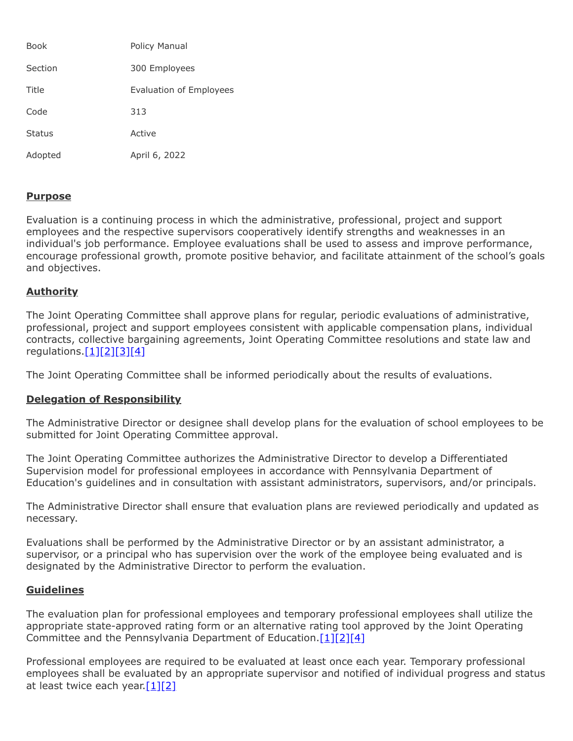| <b>Book</b>   | Policy Manual           |
|---------------|-------------------------|
| Section       | 300 Employees           |
| Title         | Evaluation of Employees |
| Code          | 313                     |
| <b>Status</b> | Active                  |
| Adopted       | April 6, 2022           |

## **Purpose**

Evaluation is a continuing process in which the administrative, professional, project and support employees and the respective supervisors cooperatively identify strengths and weaknesses in an individual's job performance. Employee evaluations shall be used to assess and improve performance, encourage professional growth, promote positive behavior, and facilitate attainment of the school's goals and objectives.

## **Authority**

The Joint Operating Committee shall approve plans for regular, periodic evaluations of administrative, professional, project and support employees consistent with applicable compensation plans, individual contracts, collective bargaining agreements, Joint Operating Committee resolutions and state law and regulations[.\[1\]](http://www.legis.state.pa.us/cfdocs/legis/LI/uconsCheck.cfm?txtType=HTM&yr=1949&sessInd=0&smthLwInd=0&act=14&chpt=11&sctn=8&subsctn=0)[\[2\]](http://www.legis.state.pa.us/cfdocs/legis/LI/uconsCheck.cfm?txtType=HTM&yr=1949&sessInd=0&smthLwInd=0&act=14&chpt=11&sctn=23&subsctn=0)[\[3\]](http://www.legis.state.pa.us/cfdocs/legis/LI/uconsCheck.cfm?txtType=HTM&yr=1949&sessInd=0&smthLwInd=0&act=14&chpt=18&sctn=50&subsctn=1)[\[4\]](http://pacodeandbulletin.gov/Display/pacode?file=/secure/pacode/data/022/chapter19/s19.1.html&d=reduce)

The Joint Operating Committee shall be informed periodically about the results of evaluations.

## **Delegation of Responsibility**

The Administrative Director or designee shall develop plans for the evaluation of school employees to be submitted for Joint Operating Committee approval.

The Joint Operating Committee authorizes the Administrative Director to develop a Differentiated Supervision model for professional employees in accordance with Pennsylvania Department of Education's guidelines and in consultation with assistant administrators, supervisors, and/or principals.

The Administrative Director shall ensure that evaluation plans are reviewed periodically and updated as necessary.

Evaluations shall be performed by the Administrative Director or by an assistant administrator, a supervisor, or a principal who has supervision over the work of the employee being evaluated and is designated by the Administrative Director to perform the evaluation.

## **Guidelines**

The evaluation plan for professional employees and temporary professional employees shall utilize the appropriate state-approved rating form or an alternative rating tool approved by the Joint Operating Committee and the Pennsylvania Department of Education. [\[1\]](http://www.legis.state.pa.us/cfdocs/legis/LI/uconsCheck.cfm?txtType=HTM&yr=1949&sessInd=0&smthLwInd=0&act=14&chpt=11&sctn=8&subsctn=0)[\[2\]](http://www.legis.state.pa.us/cfdocs/legis/LI/uconsCheck.cfm?txtType=HTM&yr=1949&sessInd=0&smthLwInd=0&act=14&chpt=11&sctn=23&subsctn=0)[\[4\]](http://pacodeandbulletin.gov/Display/pacode?file=/secure/pacode/data/022/chapter19/s19.1.html&d=reduce)

Professional employees are required to be evaluated at least once each year. Temporary professional employees shall be evaluated by an appropriate supervisor and notified of individual progress and status at least twice each year.[\[1\]](http://www.legis.state.pa.us/cfdocs/legis/LI/uconsCheck.cfm?txtType=HTM&yr=1949&sessInd=0&smthLwInd=0&act=14&chpt=11&sctn=8&subsctn=0)[\[2\]](http://www.legis.state.pa.us/cfdocs/legis/LI/uconsCheck.cfm?txtType=HTM&yr=1949&sessInd=0&smthLwInd=0&act=14&chpt=11&sctn=23&subsctn=0)